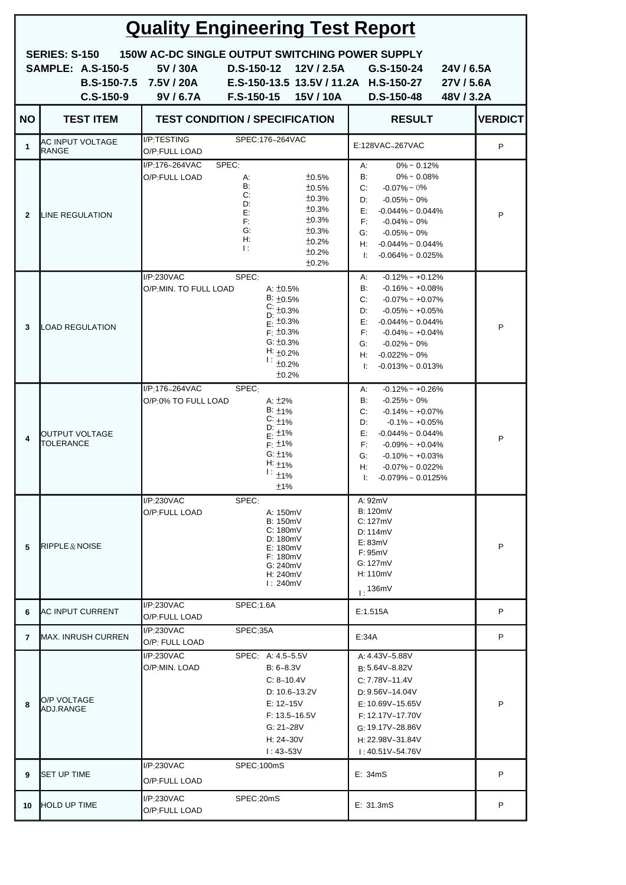| <b>Quality Engineering Test Report</b>                                                                                                                                                                                                                                                                        |                                    |                                                                                                          |                                                                                                                                                               |                                                                                                                                                                                                                                                                                             |                |  |  |
|---------------------------------------------------------------------------------------------------------------------------------------------------------------------------------------------------------------------------------------------------------------------------------------------------------------|------------------------------------|----------------------------------------------------------------------------------------------------------|---------------------------------------------------------------------------------------------------------------------------------------------------------------|---------------------------------------------------------------------------------------------------------------------------------------------------------------------------------------------------------------------------------------------------------------------------------------------|----------------|--|--|
| <b>150W AC-DC SINGLE OUTPUT SWITCHING POWER SUPPLY</b><br><b>SERIES: S-150</b><br><b>SAMPLE: A.S-150-5</b><br>5V / 30A<br>D.S-150-12<br>12V / 2.5A<br>G.S-150-24<br>E.S-150-13.5 13.5V / 11.2A H.S-150-27<br>B.S-150-7.5 7.5V / 20A<br>$C.S-150-9$<br>9V/6.7A<br>$F.S-150-15$<br>15V/10A<br><b>D.S-150-48</b> |                                    |                                                                                                          |                                                                                                                                                               | 24V/6.5A<br>27V / 5.6A<br>48V/3.2A                                                                                                                                                                                                                                                          |                |  |  |
| <b>NO</b>                                                                                                                                                                                                                                                                                                     | <b>TEST ITEM</b>                   | <b>TEST CONDITION / SPECIFICATION</b>                                                                    |                                                                                                                                                               | <b>RESULT</b>                                                                                                                                                                                                                                                                               | <b>VERDICT</b> |  |  |
| $\mathbf{1}$                                                                                                                                                                                                                                                                                                  | AC INPUT VOLTAGE<br><b>RANGE</b>   | I/P:TESTING<br>O/P:FULL LOAD                                                                             | SPEC:176~264VAC                                                                                                                                               | E:128VAC~267VAC                                                                                                                                                                                                                                                                             | P              |  |  |
| $\overline{2}$                                                                                                                                                                                                                                                                                                | LINE REGULATION                    | I/P.176~264VAC<br>SPEC:<br>O/P:FULL LOAD<br>А:<br>B:<br>C:<br>D:<br>E:<br>F:<br>G:<br>Н:<br>$\mathbf{E}$ | ±0.5%<br>±0.5%<br>±0.3%<br>±0.3%<br>±0.3%<br>±0.3%<br>±0.2%<br>±0.2%<br>±0.2%                                                                                 | $0\% \sim 0.12\%$<br>А:<br>B:<br>$0\% \sim 0.08\%$<br>C:<br>$-0.07\% \sim 0\%$<br>$-0.05\% \sim 0\%$<br>D:<br>$-0.044\% \sim 0.044\%$<br>E:<br>F:<br>$-0.04\% \sim 0\%$<br>G:<br>$-0.05\% \sim 0\%$<br>H: $-0.044\% \sim 0.044\%$<br>$-0.064\% \sim 0.025\%$<br>l: I                        | P              |  |  |
| 3                                                                                                                                                                                                                                                                                                             | LOAD REGULATION                    | I/P.230VAC<br>SPEC:<br>O/P:MIN. TO FULL LOAD                                                             | A: $\pm 0.5\%$<br>$B: \pm 0.5\%$<br>$C: \pm 0.3\%$<br>D:<br>$E: \pm 0.3\%$<br>$F: \pm 0.3\%$<br>$G: \pm 0.3\%$<br>H: $\pm 0.2\%$<br>$1:_{\pm 0.2\%}$<br>±0.2% | $-0.12\%$ ~ $+0.12\%$<br>А:<br>B:<br>$-0.16\% \sim +0.08\%$<br>$-0.07\% \sim +0.07\%$<br>C:<br>$-0.05\% \sim +0.05\%$<br>D:<br>E: I<br>$-0.044\% \sim 0.044\%$<br>F:<br>$-0.04\%$ ~ $+0.04\%$<br>$-0.02\% \sim 0\%$<br>G:<br>$-0.022\% \sim 0\%$<br>H: 1<br>$-0.013\% \sim 0.013\%$<br>l: I | P              |  |  |
| 4                                                                                                                                                                                                                                                                                                             | OUTPUT VOLTAGE<br><b>TOLERANCE</b> | I/P:176~264VAC<br>SPEC:<br>O/P:0% TO FULL LOAD                                                           | A: $\pm 2\%$<br>$B: \pm 1\%$<br>$C: 1\frac{1}{2}$<br>D:<br>$\frac{1}{5}$ : ±1%<br>$F: \pm 1\%$<br>G: $±1\%$<br>H: $\pm$ 1%<br>$1:11\%$<br>±1%                 | $-0.12\%$ ~ $+0.26\%$<br>A:<br>B:<br>$-0.25\% \sim 0\%$<br>$-0.14\%$ ~ $+0.07\%$<br>C:<br>D:<br>$-0.1\%$ ~ $+0.05\%$<br>$-0.044\% \sim 0.044\%$<br>E:<br>F:<br>$-0.09\%$ ~ $+0.04\%$<br>$-0.10\%$ ~ $+0.03\%$<br>G:<br>$-0.07\% \sim 0.022\%$<br>H:<br>l: I<br>$-0.079\%$ ~ 0.0125%         | P              |  |  |
| 5                                                                                                                                                                                                                                                                                                             | RIPPLE & NOISE                     | SPEC:<br>$I/P$ :230VAC<br>O/P:FULL LOAD                                                                  | A: 150mV<br><b>B: 150mV</b><br>C: 180mV<br>D: 180mV<br>E: 180mV<br>F: 180mV<br>G: 240mV<br>H: 240mV<br>l: 240mV                                               | A: 92mV<br><b>B: 120mV</b><br>C:127mV<br>D: 114mV<br>E: 83mV<br>F: 95mV<br>G:127mV<br>H: 110mV<br>1.136mV                                                                                                                                                                                   | P              |  |  |
| 6                                                                                                                                                                                                                                                                                                             | <b>AC INPUT CURRENT</b>            | I/P:230VAC<br>SPEC:1.6A<br>O/P:FULL LOAD                                                                 |                                                                                                                                                               | E:1.515A                                                                                                                                                                                                                                                                                    | P              |  |  |
| 7                                                                                                                                                                                                                                                                                                             | <b>MAX. INRUSH CURREN</b>          | I/P:230VAC<br>O/P: FULL LOAD                                                                             | SPEC:35A                                                                                                                                                      | E:34A                                                                                                                                                                                                                                                                                       | P              |  |  |
| 8                                                                                                                                                                                                                                                                                                             | O/P VOLTAGE<br>ADJ.RANGE           | I/P:230VAC<br>o/P:min. Load                                                                              | SPEC: A: 4.5~5.5V<br>$B: 6 - 8.3V$<br>C: 8~10.4V<br>D: $10.6 - 13.2V$<br>E: 12~15V<br>$F: 13.5 - 16.5V$<br>G: $21 - 28V$<br>H: $24 - 30V$<br>$1:43 - 53V$     | A: 4.43V~5.88V<br>B: 5.64V~8.82V<br>C: 7.78V~11.4V<br>D: $9.56V~14.04V$<br>E: $10.69V~15.65V$<br>F: 12.17V~17.70V<br>G: 19.17V~28.86V<br>$H: 22.98V - 31.84V$<br>$1:40.51V - 54.76V$                                                                                                        | P              |  |  |
| 9                                                                                                                                                                                                                                                                                                             | <b>SET UP TIME</b>                 | $I/P$ :230VAC<br>O/P:FULL LOAD                                                                           | SPEC:100mS                                                                                                                                                    | E: 34mS                                                                                                                                                                                                                                                                                     | P              |  |  |
| 10                                                                                                                                                                                                                                                                                                            | <b>HOLD UP TIME</b>                | I/P:230VAC<br>O/P:FULL LOAD                                                                              | SPEC: 20mS                                                                                                                                                    | E: 31.3mS                                                                                                                                                                                                                                                                                   | P              |  |  |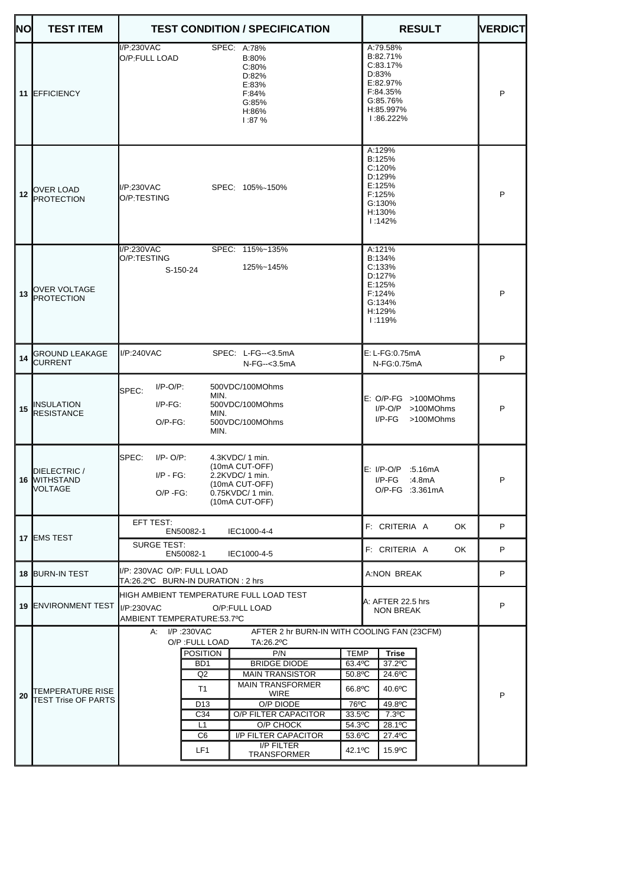| <b>NO</b> | <b>TEST ITEM</b>                        | <b>TEST CONDITION / SPECIFICATION</b>                                                                                                                                                                                                                                                                                                                                                                                                                                                                                                       | <b>RESULT</b>                                                                                           | <b>VERDICT</b> |
|-----------|-----------------------------------------|---------------------------------------------------------------------------------------------------------------------------------------------------------------------------------------------------------------------------------------------------------------------------------------------------------------------------------------------------------------------------------------------------------------------------------------------------------------------------------------------------------------------------------------------|---------------------------------------------------------------------------------------------------------|----------------|
| 11        | <b>EFFICIENCY</b>                       | I/P:230VAC<br>SPEC: A:78%<br>O/P:FULL LOAD<br>B:80%<br>C:80%<br>D:82%<br>E:83%<br>F:84%<br>G:85%<br>H:86%<br>1:87%                                                                                                                                                                                                                                                                                                                                                                                                                          | A:79.58%<br>B:82.71%<br>C:83.17%<br>D:83%<br>E:82.97%<br>F:84.35%<br>G:85.76%<br>H:85.997%<br>1:86.222% | P              |
| 12        | OVER LOAD<br><b>PROTECTION</b>          | I/P:230VAC<br>SPEC: 105%~150%<br>O/P:TESTING                                                                                                                                                                                                                                                                                                                                                                                                                                                                                                | A:129%<br>B:125%<br>C:120%<br>D:129%<br>E:125%<br>F:125%<br>G:130%<br>H:130%<br>1:142%                  | P              |
| 13        | OVER VOLTAGE<br><b>PROTECTION</b>       | I/P:230VAC<br>SPEC: 115%~135%<br>O/P:TESTING<br>125%~145%<br>S-150-24                                                                                                                                                                                                                                                                                                                                                                                                                                                                       | A:121%<br>B:134%<br>C:133%<br>D:127%<br>E:125%<br>F:124%<br>G:134%<br>H:129%<br>1:119%                  | P              |
| 14        | <b>GROUND LEAKAGE</b><br><b>CURRENT</b> | I/P:240VAC<br>SPEC: L-FG--<3.5mA<br>N-FG--<3.5mA                                                                                                                                                                                                                                                                                                                                                                                                                                                                                            | $E: L-FG: 0.75mA$<br>N-FG:0.75mA                                                                        | P              |
| 15        | <b>INSULATION</b><br><b>RESISTANCE</b>  | $I/P-O/P$ :<br>500VDC/100MOhms<br>SPEC:<br>MIN.<br>$I/P-FG$ :<br>500VDC/100MOhms<br>MIN.<br>$O/P-FG$ :<br>500VDC/100MOhms<br>MIN.                                                                                                                                                                                                                                                                                                                                                                                                           | $E: O/P-FG > 100MOhms$<br>$I/P$ -O/P >100MOhms<br>$I/P-FG$<br>>100MOhms                                 | P              |
|           | DIELECTRIC /<br>16 WITHSTAND<br>VOLTAGE | SPEC:<br>$I/P - O/P$ :<br>4.3KVDC/ 1 min.<br>(10mA CUT-OFF)<br>$I/P - FG$ :<br>2.2KVDC/ 1 min.<br>(10mA CUT-OFF)<br>0.75KVDC/ 1 min.<br>$O/P - FG$ :<br>(10mA CUT-OFF)                                                                                                                                                                                                                                                                                                                                                                      | E: I/P-O/P :5.16mA<br>$I/P-FG$<br>:4.8mA<br>O/P-FG :3.361mA                                             | P              |
|           | 17 EMS TEST                             | EFT TEST:<br>EN50082-1<br>IEC1000-4-4                                                                                                                                                                                                                                                                                                                                                                                                                                                                                                       | F: CRITERIA A<br><b>OK</b>                                                                              | P              |
|           |                                         | <b>SURGE TEST:</b><br>EN50082-1<br>IEC1000-4-5                                                                                                                                                                                                                                                                                                                                                                                                                                                                                              | F: CRITERIA A<br>OK.                                                                                    | P              |
|           | <b>18 BURN-IN TEST</b>                  | I/P: 230VAC O/P: FULL LOAD<br>TA:26.2°C BURN-IN DURATION : 2 hrs                                                                                                                                                                                                                                                                                                                                                                                                                                                                            | A:NON BREAK                                                                                             | P              |
|           | <b>19 ENVIRONMENT TEST</b>              | HIGH AMBIENT TEMPERATURE FULL LOAD TEST<br>I/P:230VAC<br>O/P:FULL LOAD<br>AMBIENT TEMPERATURE:53.7°C                                                                                                                                                                                                                                                                                                                                                                                                                                        | A: AFTER 22.5 hrs<br><b>NON BREAK</b>                                                                   | P              |
| 20        | TEMPERATURE RISE<br>TEST Trise OF PARTS | A: I/P:230VAC<br>AFTER 2 hr BURN-IN WITH COOLING FAN (23CFM)<br>O/P : FULL LOAD<br>TA:26.2°C<br><b>POSITION</b><br><b>TEMP</b><br>P/N<br>B <sub>D</sub> 1<br><b>BRIDGE DIODE</b><br>63.4°C<br>Q2<br><b>MAIN TRANSISTOR</b><br>50.8°C<br><b>MAIN TRANSFORMER</b><br>T1<br>66.8°C<br><b>WIRE</b><br>O/P DIODE<br>76°C<br>D <sub>13</sub><br>C34<br>O/P FILTER CAPACITOR<br>33.5°C<br>L1<br>O/P CHOCK<br>54.3°C<br>C <sub>6</sub><br>I/P FILTER CAPACITOR<br>$53.6$ °C<br><b>I/P FILTER</b><br>LF <sub>1</sub><br>42.1°C<br><b>TRANSFORMER</b> | Trise<br>37.2°C<br>24.6°C<br>40.6°C<br>49.8°C<br>$7.3$ °C<br>28.1°C<br>27.4°C<br>15.9°C                 | P              |